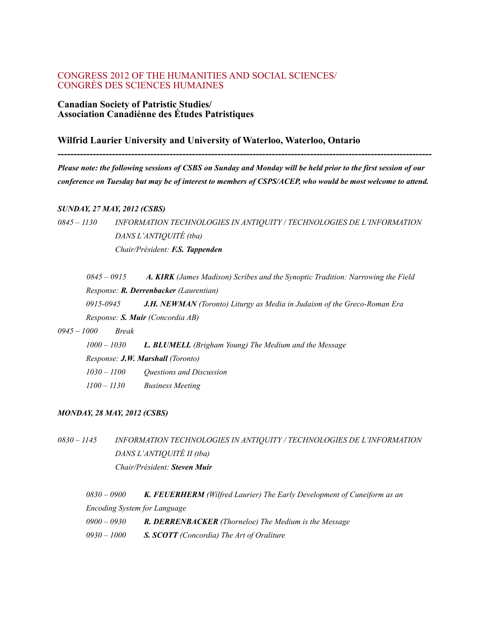### CONGRESS 2012 OF THE HUMANITIES AND SOCIAL SCIENCES/ CONGRÈS DES SCIENCES HUMAINES

#### **Canadian Society of Patristic Studies/ Association Canadiénne des Études Patristiques**

### **Wilfrid Laurier University and University of Waterloo, Waterloo, Ontario**

*Please note: the following sessions of CSBS on Sunday and Monday will be held prior to the first session of our conference on Tuesday but may be of interest to members of CSPS/ACEP, who would be most welcome to attend.*

**---------------------------------------------------------------------------------------------------------------------**

#### *SUNDAY, 27 MAY, 2012 (CSBS)*

*0845 – 1130 INFORMATION TECHNOLOGIES IN ANTIQUITY / TECHNOLOGIES DE L'INFORMATION DANS L'ANTIQUITÉ (tba) Chair/Président: F.S. Tappenden*

*0845 – 0915 A. KIRK (James Madison) Scribes and the Synoptic Tradition: Narrowing the Field Response: R. Derrenbacker (Laurentian) 0915-0945 J.H. NEWMAN (Toronto) Liturgy as Media in Judaism of the Greco-Roman Era Response: S. Muir (Concordia AB)*

#### *0945 – 1000 Break*

| 1000 – 1030                              | <b>L. BLUMELL</b> (Brigham Young) The Medium and the Message |  |  |  |  |
|------------------------------------------|--------------------------------------------------------------|--|--|--|--|
| Response: <b>J.W. Marshall</b> (Toronto) |                                                              |  |  |  |  |
| 1030 – 1100                              | <i><b>Ouestions and Discussion</b></i>                       |  |  |  |  |
| 1100 – 1130                              | <b>Business Meeting</b>                                      |  |  |  |  |

#### *MONDAY, 28 MAY, 2012 (CSBS)*

*0830 – 1145 INFORMATION TECHNOLOGIES IN ANTIQUITY / TECHNOLOGIES DE L'INFORMATION DANS L'ANTIQUITÉ II (tba) Chair/Président: Steven Muir*

*0830 – 0900 K. FEUERHERM (Wilfred Laurier) The Early Development of Cuneiform as an Encoding System for Language 0900 – 0930 R. DERRENBACKER (Thorneloe) The Medium is the Message*

*0930 – 1000 S. SCOTT (Concordia) The Art of Oraliture*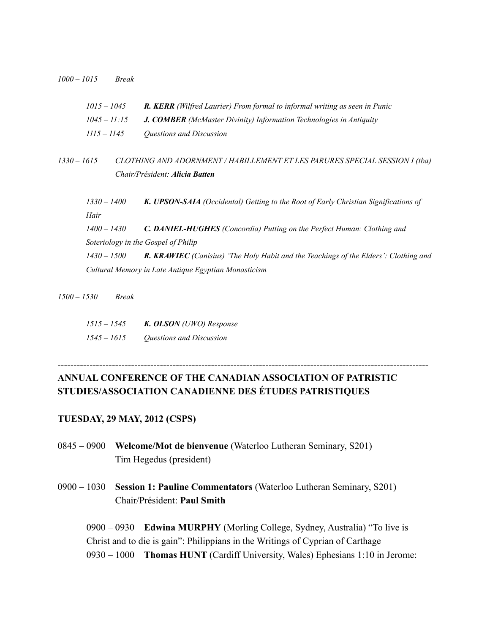*1000 – 1015 Break*

| $1015 - 1045$<br>$1045 - 11:15$ |               |                                     | <b>R. KERR</b> (Wilfred Laurier) From formal to informal writing as seen in Punic                      |  |
|---------------------------------|---------------|-------------------------------------|--------------------------------------------------------------------------------------------------------|--|
|                                 |               |                                     | <b>J. COMBER</b> (McMaster Divinity) Information Technologies in Antiquity<br>Questions and Discussion |  |
|                                 | $1115 - 1145$ |                                     |                                                                                                        |  |
| $1330 - 1615$                   |               |                                     | CLOTHING AND ADORNMENT / HABILLEMENT ET LES PARURES SPECIAL SESSION I (tba)                            |  |
|                                 |               |                                     | Chair/Président: Alicia Batten                                                                         |  |
|                                 | $1330 - 1400$ |                                     | K. UPSON-SAIA (Occidental) Getting to the Root of Early Christian Significations of                    |  |
|                                 | Hair          |                                     |                                                                                                        |  |
|                                 | $1400 - 1430$ |                                     | C. DANIEL-HUGHES (Concordia) Putting on the Perfect Human: Clothing and                                |  |
|                                 |               | Soteriology in the Gospel of Philip |                                                                                                        |  |
|                                 | 1430 – 1500   |                                     | <b>R. KRAWIEC</b> (Canisius) 'The Holy Habit and the Teachings of the Elders': Clothing and            |  |
|                                 |               |                                     | Cultural Memory in Late Antique Egyptian Monasticism                                                   |  |
|                                 |               |                                     |                                                                                                        |  |

*1500 – 1530 Break*

| 1515 – 1545 | K. OLSON (UWO) Response  |
|-------------|--------------------------|
| 1545 – 1615 | Questions and Discussion |

# **ANNUAL CONFERENCE OF THE CANADIAN ASSOCIATION OF PATRISTIC STUDIES/ASSOCIATION CANADIENNE DES ÉTUDES PATRISTIQUES**

--------------------------------------------------------------------------------------------------------------------

### **TUESDAY, 29 MAY, 2012 (CSPS)**

- 0845 0900 **Welcome/Mot de bienvenue** (Waterloo Lutheran Seminary, S201) Tim Hegedus (president)
- 0900 1030 **Session 1: Pauline Commentators** (Waterloo Lutheran Seminary, S201) Chair/Président: **Paul Smith**

0900 – 0930 **Edwina MURPHY** (Morling College, Sydney, Australia) "To live is Christ and to die is gain": Philippians in the Writings of Cyprian of Carthage 0930 – 1000 **Thomas HUNT** (Cardiff University, Wales) Ephesians 1:10 in Jerome: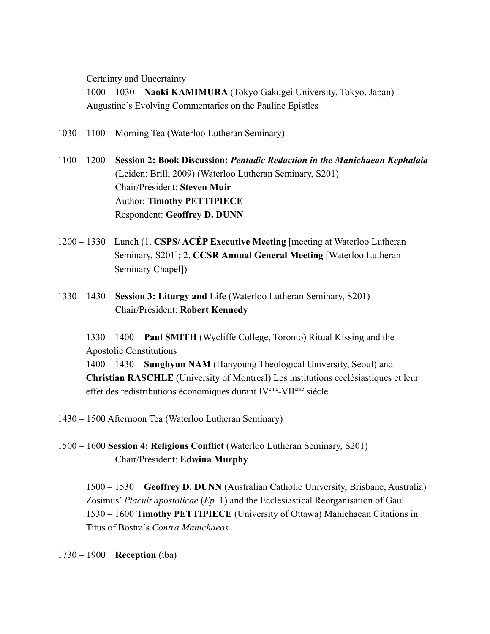Certainty and Uncertainty

1000 – 1030 **Naoki KAMIMURA** (Tokyo Gakugei University, Tokyo, Japan) Augustine's Evolving Commentaries on the Pauline Epistles

- 1030 1100 Morning Tea (Waterloo Lutheran Seminary)
- 1100 1200 **Session 2: Book Discussion:** *Pentadic Redaction in the Manichaean Kephalaia* (Leiden: Brill, 2009) (Waterloo Lutheran Seminary, S201) Chair/Président: **Steven Muir** Author: **Timothy PETTIPIECE** Respondent: **Geoffrey D. DUNN**
- 1200 1330 Lunch (1. **CSPS/ ACÉP Executive Meeting** [meeting at Waterloo Lutheran Seminary, S201]; 2. **CCSR Annual General Meeting** [Waterloo Lutheran Seminary Chapel])
- 1330 1430 **Session 3: Liturgy and Life** (Waterloo Lutheran Seminary, S201) Chair/Président: **Robert Kennedy**

1330 – 1400 **Paul SMITH** (Wycliffe College, Toronto) Ritual Kissing and the Apostolic Constitutions 1400 – 1430 **Sunghyun NAM** (Hanyoung Theological University, Seoul) and **Christian RASCHLE** (University of Montreal) Les institutions ecclésiastiques et leur effet des redistributions économiques durant IVéme-VIIéme siècle

- 1430 1500 Afternoon Tea (Waterloo Lutheran Seminary)
- 1500 1600 **Session 4: Religious Conflict** (Waterloo Lutheran Seminary, S201) Chair/Président: **Edwina Murphy**

1500 – 1530 **Geoffrey D. DUNN** (Australian Catholic University, Brisbane, Australia) Zosimus' *Placuit apostolicae* (*Ep.* 1) and the Ecclesiastical Reorganisation of Gaul 1530 – 1600 **Timothy PETTIPIECE** (University of Ottawa) Manichaean Citations in Titus of Bostra's *Contra Manichaeos*

1730 – 1900 **Reception** (tba)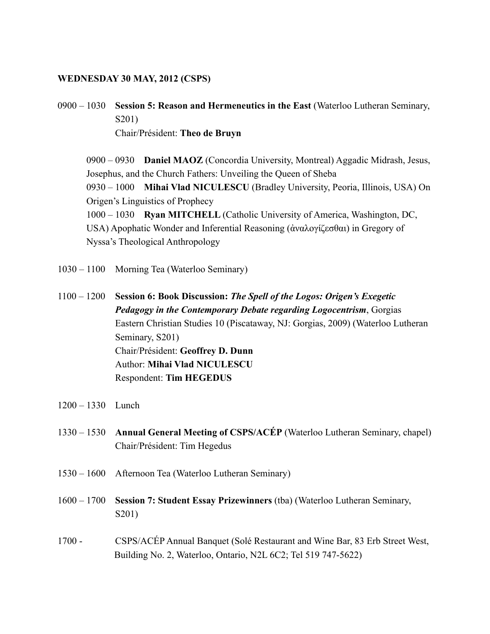### **WEDNESDAY 30 MAY, 2012 (CSPS)**

0900 – 1030 **Session 5: Reason and Hermeneutics in the East** (Waterloo Lutheran Seminary, S201) Chair/Président: **Theo de Bruyn**

0900 – 0930 **Daniel MAOZ** (Concordia University, Montreal) Aggadic Midrash, Jesus, Josephus, and the Church Fathers: Unveiling the Queen of Sheba 0930 – 1000 **Mihai Vlad NICULESCU** (Bradley University, Peoria, Illinois, USA) On Origen's Linguistics of Prophecy 1000 – 1030 **Ryan MITCHELL** (Catholic University of America, Washington, DC, USA) Apophatic Wonder and Inferential Reasoning (ἀναλογίζεσθαι) in Gregory of Nyssa's Theological Anthropology

- 1030 1100 Morning Tea (Waterloo Seminary)
- 1100 1200 **Session 6: Book Discussion:** *The Spell of the Logos: Origen's Exegetic Pedagogy in the Contemporary Debate regarding Logocentrism*, Gorgias Eastern Christian Studies 10 (Piscataway, NJ: Gorgias, 2009) (Waterloo Lutheran Seminary, S201) Chair/Président: **Geoffrey D. Dunn** Author: **Mihai Vlad NICULESCU** Respondent: **Tim HEGEDUS**
- 1200 1330 Lunch
- 1330 1530 **Annual General Meeting of CSPS/ACÉP** (Waterloo Lutheran Seminary, chapel) Chair/Président: Tim Hegedus
- 1530 1600 Afternoon Tea (Waterloo Lutheran Seminary)
- 1600 1700 **Session 7: Student Essay Prizewinners** (tba) (Waterloo Lutheran Seminary, S201)
- 1700 CSPS/ACÉP Annual Banquet (Solé Restaurant and Wine Bar, 83 Erb Street West, Building No. 2, Waterloo, Ontario, N2L 6C2; Tel 519 747-5622)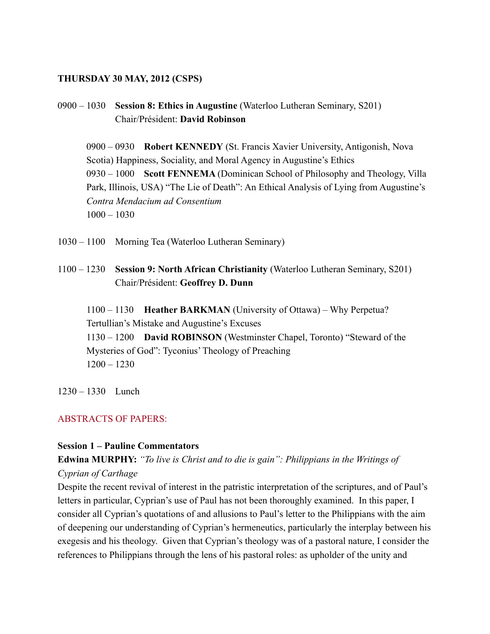### **THURSDAY 30 MAY, 2012 (CSPS)**

0900 – 1030 **Session 8: Ethics in Augustine** (Waterloo Lutheran Seminary, S201) Chair/Président: **David Robinson**

0900 – 0930 **Robert KENNEDY** (St. Francis Xavier University, Antigonish, Nova Scotia) Happiness, Sociality, and Moral Agency in Augustine's Ethics 0930 – 1000 **Scott FENNEMA** (Dominican School of Philosophy and Theology, Villa Park, Illinois, USA) "The Lie of Death": An Ethical Analysis of Lying from Augustine's *Contra Mendacium ad Consentium* 1000 – 1030

- 1030 1100 Morning Tea (Waterloo Lutheran Seminary)
- 1100 1230 **Session 9: North African Christianity** (Waterloo Lutheran Seminary, S201) Chair/Président: **Geoffrey D. Dunn**

1100 – 1130 **Heather BARKMAN** (University of Ottawa) – Why Perpetua? Tertullian's Mistake and Augustine's Excuses 1130 – 1200 **David ROBINSON** (Westminster Chapel, Toronto) "Steward of the Mysteries of God": Tyconius' Theology of Preaching 1200 – 1230

1230 – 1330 Lunch

### ABSTRACTS OF PAPERS:

## **Session 1 – Pauline Commentators**

# **Edwina MURPHY:** *"To live is Christ and to die is gain": Philippians in the Writings of Cyprian of Carthage*

Despite the recent revival of interest in the patristic interpretation of the scriptures, and of Paul's letters in particular, Cyprian's use of Paul has not been thoroughly examined. In this paper, I consider all Cyprian's quotations of and allusions to Paul's letter to the Philippians with the aim of deepening our understanding of Cyprian's hermeneutics, particularly the interplay between his exegesis and his theology. Given that Cyprian's theology was of a pastoral nature, I consider the references to Philippians through the lens of his pastoral roles: as upholder of the unity and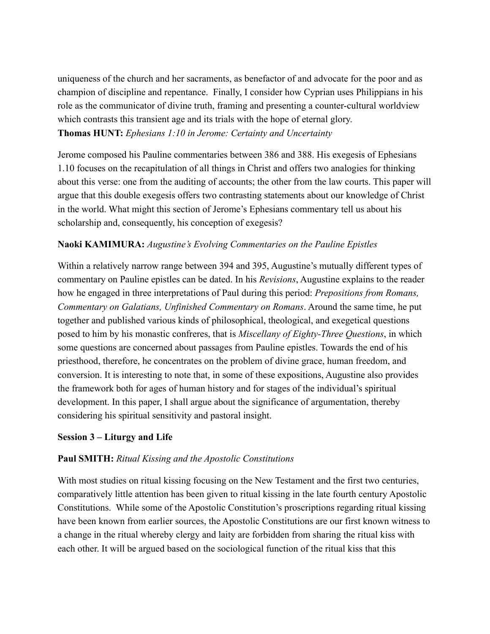uniqueness of the church and her sacraments, as benefactor of and advocate for the poor and as champion of discipline and repentance. Finally, I consider how Cyprian uses Philippians in his role as the communicator of divine truth, framing and presenting a counter-cultural worldview which contrasts this transient age and its trials with the hope of eternal glory. **Thomas HUNT:** *Ephesians 1:10 in Jerome: Certainty and Uncertainty*

Jerome composed his Pauline commentaries between 386 and 388. His exegesis of Ephesians 1.10 focuses on the recapitulation of all things in Christ and offers two analogies for thinking about this verse: one from the auditing of accounts; the other from the law courts. This paper will argue that this double exegesis offers two contrasting statements about our knowledge of Christ in the world. What might this section of Jerome's Ephesians commentary tell us about his scholarship and, consequently, his conception of exegesis?

## **Naoki KAMIMURA:** *Augustine's Evolving Commentaries on the Pauline Epistles*

Within a relatively narrow range between 394 and 395, Augustine's mutually different types of commentary on Pauline epistles can be dated. In his *Revisions*, Augustine explains to the reader how he engaged in three interpretations of Paul during this period: *Prepositions from Romans, Commentary on Galatians, Unfinished Commentary on Romans*. Around the same time, he put together and published various kinds of philosophical, theological, and exegetical questions posed to him by his monastic confreres, that is *Miscellany of Eighty-Three Questions*, in which some questions are concerned about passages from Pauline epistles. Towards the end of his priesthood, therefore, he concentrates on the problem of divine grace, human freedom, and conversion. It is interesting to note that, in some of these expositions, Augustine also provides the framework both for ages of human history and for stages of the individual's spiritual development. In this paper, I shall argue about the significance of argumentation, thereby considering his spiritual sensitivity and pastoral insight.

## **Session 3 – Liturgy and Life**

## **Paul SMITH:** *Ritual Kissing and the Apostolic Constitutions*

With most studies on ritual kissing focusing on the New Testament and the first two centuries, comparatively little attention has been given to ritual kissing in the late fourth century Apostolic Constitutions. While some of the Apostolic Constitution's proscriptions regarding ritual kissing have been known from earlier sources, the Apostolic Constitutions are our first known witness to a change in the ritual whereby clergy and laity are forbidden from sharing the ritual kiss with each other. It will be argued based on the sociological function of the ritual kiss that this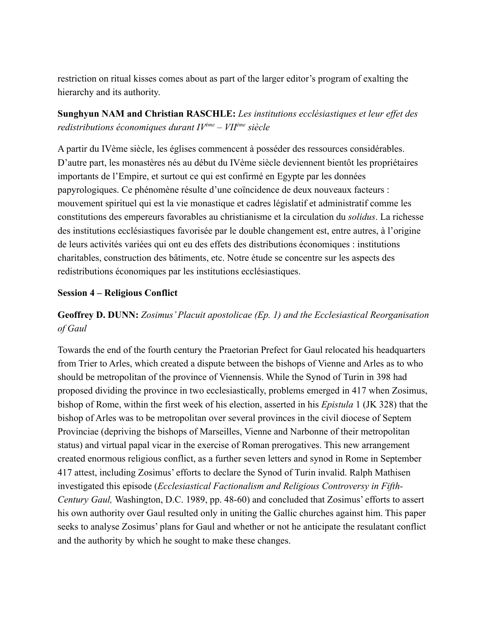restriction on ritual kisses comes about as part of the larger editor's program of exalting the hierarchy and its authority.

# **Sunghyun NAM and Christian RASCHLE:** *Les institutions ecclésiastiques et leur effet des redistributions économiques durant IVéme – VIIéme siècle*

A partir du IVème siècle, les églises commencent à posséder des ressources considérables. D'autre part, les monastères nés au début du IVème siècle deviennent bientôt les propriétaires importants de l'Empire, et surtout ce qui est confirmé en Egypte par les données papyrologiques. Ce phénomène résulte d'une coïncidence de deux nouveaux facteurs : mouvement spirituel qui est la vie monastique et cadres législatif et administratif comme les constitutions des empereurs favorables au christianisme et la circulation du *solidus*. La richesse des institutions ecclésiastiques favorisée par le double changement est, entre autres, à l'origine de leurs activités variées qui ont eu des effets des distributions économiques : institutions charitables, construction des bâtiments, etc. Notre étude se concentre sur les aspects des redistributions économiques par les institutions ecclésiastiques.

## **Session 4 – Religious Conflict**

# **Geoffrey D. DUNN:** *Zosimus' Placuit apostolicae (Ep. 1) and the Ecclesiastical Reorganisation of Gaul*

Towards the end of the fourth century the Praetorian Prefect for Gaul relocated his headquarters from Trier to Arles, which created a dispute between the bishops of Vienne and Arles as to who should be metropolitan of the province of Viennensis. While the Synod of Turin in 398 had proposed dividing the province in two ecclesiastically, problems emerged in 417 when Zosimus, bishop of Rome, within the first week of his election, asserted in his *Epistula* 1 (JK 328) that the bishop of Arles was to be metropolitan over several provinces in the civil diocese of Septem Provinciae (depriving the bishops of Marseilles, Vienne and Narbonne of their metropolitan status) and virtual papal vicar in the exercise of Roman prerogatives. This new arrangement created enormous religious conflict, as a further seven letters and synod in Rome in September 417 attest, including Zosimus' efforts to declare the Synod of Turin invalid. Ralph Mathisen investigated this episode (*Ecclesiastical Factionalism and Religious Controversy in Fifth-Century Gaul,* Washington, D.C. 1989, pp. 48-60) and concluded that Zosimus' efforts to assert his own authority over Gaul resulted only in uniting the Gallic churches against him. This paper seeks to analyse Zosimus' plans for Gaul and whether or not he anticipate the resulatant conflict and the authority by which he sought to make these changes.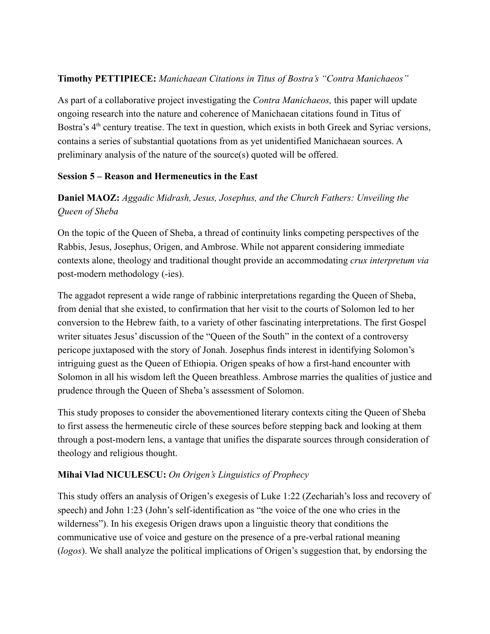## **Timothy PETTIPIECE:** *Manichaean Citations in Titus of Bostra's "Contra Manichaeos"*

As part of a collaborative project investigating the *Contra Manichaeos,* this paper will update ongoing research into the nature and coherence of Manichaean citations found in Titus of Bostra's  $4<sup>th</sup>$  century treatise. The text in question, which exists in both Greek and Syriac versions, contains a series of substantial quotations from as yet unidentified Manichaean sources. A preliminary analysis of the nature of the source(s) quoted will be offered.

## **Session 5 – Reason and Hermeneutics in the East**

# **Daniel MAOZ:** *Aggadic Midrash, Jesus, Josephus, and the Church Fathers: Unveiling the Queen of Sheba*

On the topic of the Queen of Sheba, a thread of continuity links competing perspectives of the Rabbis, Jesus, Josephus, Origen, and Ambrose. While not apparent considering immediate contexts alone, theology and traditional thought provide an accommodating *crux interpretum via* post-modern methodology (-ies).

The aggadot represent a wide range of rabbinic interpretations regarding the Queen of Sheba, from denial that she existed, to confirmation that her visit to the courts of Solomon led to her conversion to the Hebrew faith, to a variety of other fascinating interpretations. The first Gospel writer situates Jesus' discussion of the "Queen of the South" in the context of a controversy pericope juxtaposed with the story of Jonah. Josephus finds interest in identifying Solomon's intriguing guest as the Queen of Ethiopia. Origen speaks of how a first-hand encounter with Solomon in all his wisdom left the Queen breathless. Ambrose marries the qualities of justice and prudence through the Queen of Sheba's assessment of Solomon.

This study proposes to consider the abovementioned literary contexts citing the Queen of Sheba to first assess the hermeneutic circle of these sources before stepping back and looking at them through a post-modern lens, a vantage that unifies the disparate sources through consideration of theology and religious thought.

# **Mihai Vlad NICULESCU:** *On Origen's Linguistics of Prophecy*

This study offers an analysis of Origen's exegesis of Luke 1:22 (Zechariah's loss and recovery of speech) and John 1:23 (John's self-identification as "the voice of the one who cries in the wilderness"). In his exegesis Origen draws upon a linguistic theory that conditions the communicative use of voice and gesture on the presence of a pre-verbal rational meaning (*logos*). We shall analyze the political implications of Origen's suggestion that, by endorsing the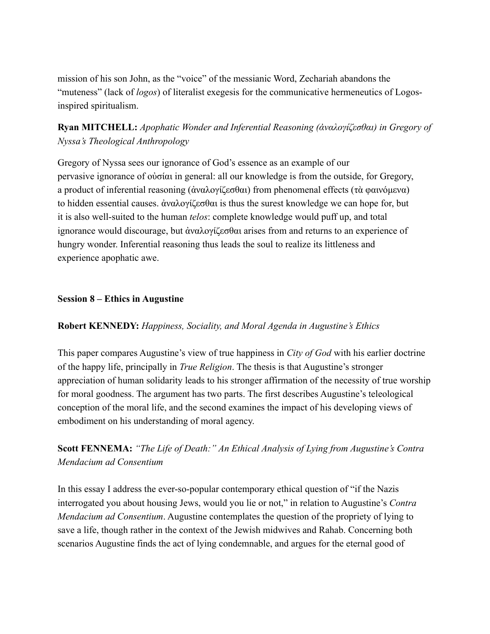mission of his son John, as the "voice" of the messianic Word, Zechariah abandons the "muteness" (lack of *logos*) of literalist exegesis for the communicative hermeneutics of Logosinspired spiritualism.

# **Ryan MITCHELL:** *Apophatic Wonder and Inferential Reasoning (ἀναλογίζεσθαι) in Gregory of Nyssa's Theological Anthropology*

Gregory of Nyssa sees our ignorance of God's essence as an example of our pervasive ignorance of οὐσίαι in general: all our knowledge is from the outside, for Gregory, a product of inferential reasoning (ἀναλογίζεσθαι) from phenomenal effects (τὰ φαινόμενα) to hidden essential causes. ἀναλογίζεσθαι is thus the surest knowledge we can hope for, but it is also well-suited to the human *telos*: complete knowledge would puff up, and total ignorance would discourage, but ἀναλογίζεσθαι arises from and returns to an experience of hungry wonder. Inferential reasoning thus leads the soul to realize its littleness and experience apophatic awe.

## **Session 8 – Ethics in Augustine**

## **Robert KENNEDY:** *Happiness, Sociality, and Moral Agenda in Augustine's Ethics*

This paper compares Augustine's view of true happiness in *City of God* with his earlier doctrine of the happy life, principally in *True Religion*. The thesis is that Augustine's stronger appreciation of human solidarity leads to his stronger affirmation of the necessity of true worship for moral goodness. The argument has two parts. The first describes Augustine's teleological conception of the moral life, and the second examines the impact of his developing views of embodiment on his understanding of moral agency.

**Scott FENNEMA:** *"The Life of Death:" An Ethical Analysis of Lying from Augustine's Contra Mendacium ad Consentium*

In this essay I address the ever-so-popular contemporary ethical question of "if the Nazis interrogated you about housing Jews, would you lie or not," in relation to Augustine's *Contra Mendacium ad Consentium*. Augustine contemplates the question of the propriety of lying to save a life, though rather in the context of the Jewish midwives and Rahab. Concerning both scenarios Augustine finds the act of lying condemnable, and argues for the eternal good of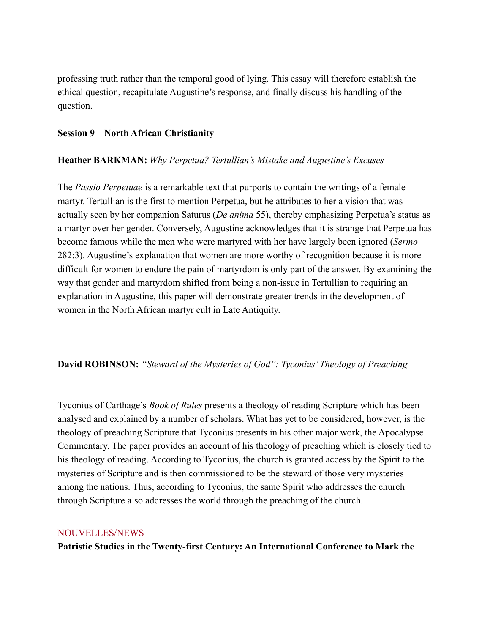professing truth rather than the temporal good of lying. This essay will therefore establish the ethical question, recapitulate Augustine's response, and finally discuss his handling of the question.

## **Session 9 – North African Christianity**

## **Heather BARKMAN:** *Why Perpetua? Tertullian's Mistake and Augustine's Excuses*

The *Passio Perpetuae* is a remarkable text that purports to contain the writings of a female martyr. Tertullian is the first to mention Perpetua, but he attributes to her a vision that was actually seen by her companion Saturus (*De anima* 55), thereby emphasizing Perpetua's status as a martyr over her gender. Conversely, Augustine acknowledges that it is strange that Perpetua has become famous while the men who were martyred with her have largely been ignored (*Sermo*  282:3). Augustine's explanation that women are more worthy of recognition because it is more difficult for women to endure the pain of martyrdom is only part of the answer. By examining the way that gender and martyrdom shifted from being a non-issue in Tertullian to requiring an explanation in Augustine, this paper will demonstrate greater trends in the development of women in the North African martyr cult in Late Antiquity.

## **David ROBINSON:** *"Steward of the Mysteries of God": Tyconius' Theology of Preaching*

Tyconius of Carthage's *Book of Rules* presents a theology of reading Scripture which has been analysed and explained by a number of scholars. What has yet to be considered, however, is the theology of preaching Scripture that Tyconius presents in his other major work, the Apocalypse Commentary. The paper provides an account of his theology of preaching which is closely tied to his theology of reading. According to Tyconius, the church is granted access by the Spirit to the mysteries of Scripture and is then commissioned to be the steward of those very mysteries among the nations. Thus, according to Tyconius, the same Spirit who addresses the church through Scripture also addresses the world through the preaching of the church.

### NOUVELLES/NEWS

**Patristic Studies in the Twenty-first Century: An International Conference to Mark the**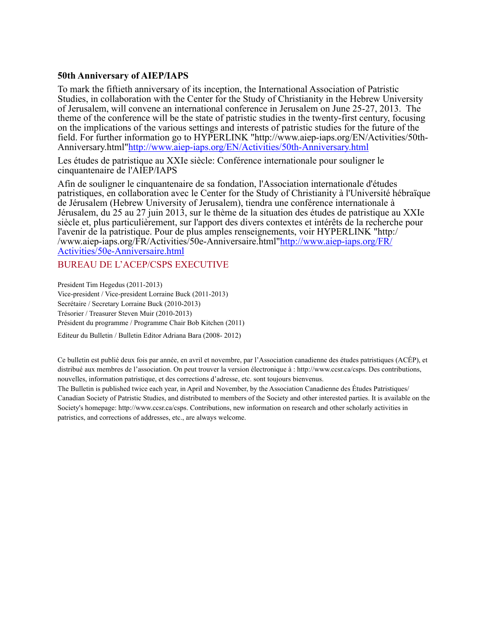### **50th Anniversary of AIEP/IAPS**

To mark the fiftieth anniversary of its inception, the International Association of Patristic Studies, in collaboration with the Center for the Study of Christianity in the Hebrew University of Jerusalem, will convene an international conference in Jerusalem on June 25-27, 2013. The theme of the conference will be the state of patristic studies in the twenty-first century, focusing on the implications of the various settings and interests of patristic studies for the future of the field. For further information go to HYPERLINK "http://www.aiep-iaps.org/EN/Activities/50th-Anniversary.html"http://www.aiep-iaps.org/EN/Activities/50th-Anniversary.html

Les études de patristique au XXIe siècle: Conférence internationale pour souligner le cinquantenaire de l'AIEP/IAPS

Afin de souligner le cinquantenaire de sa fondation, l'Association internationale d'études patristiques, en collaboration avec le Center for the Study of Christianity à l'Université hébraïque de Jérusalem (Hebrew University of Jerusalem), tiendra une conférence internationale à Jérusalem, du 25 au 27 juin 2013, sur le thème de la situation des études de patristique au XXIe siècle et, plus particulièrement, sur l'apport des divers contextes et intérêts de la recherche pour l'avenir de la patristique. Pour de plus amples renseignements, voir HYPERLINK "http:/ /www.aiep-iaps.org/FR/Activities/50e-Anniversaire.html"http://www.aiep-iaps.org/FR/ Activities/50e-Anniversaire.html

### BUREAU DE L'ACEP/CSPS EXECUTIVE

President Tim Hegedus (2011-2013) Vice-president / Vice-president Lorraine Buck (2011-2013) Secrétaire / Secretary Lorraine Buck (2010-2013) Trésorier / Treasurer Steven Muir (2010-2013) Président du programme / Programme Chair Bob Kitchen (2011)

Editeur du Bulletin / Bulletin Editor Adriana Bara (2008- 2012)

Ce bulletin est publié deux fois par année, en avril et novembre, par l'Association canadienne des études patristiques (ACÉP), et distribué aux membres de l'association. On peut trouver la version électronique à : http://www.ccsr.ca/csps. Des contributions, nouvelles, information patristique, et des corrections d'adresse, etc. sont toujours bienvenus.

The Bulletin is published twice each year, in April and November, by the Association Canadienne des Études Patristiques/ Canadian Society of Patristic Studies, and distributed to members of the Society and other interested parties. It is available on the Society's homepage: http://www.ccsr.ca/csps. Contributions, new information on research and other scholarly activities in patristics, and corrections of addresses, etc., are always welcome.